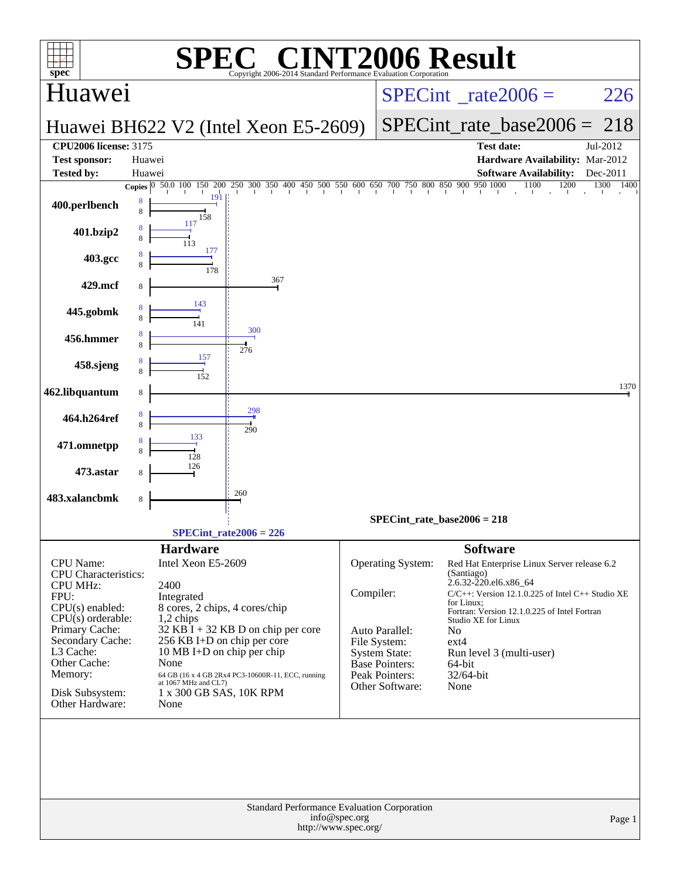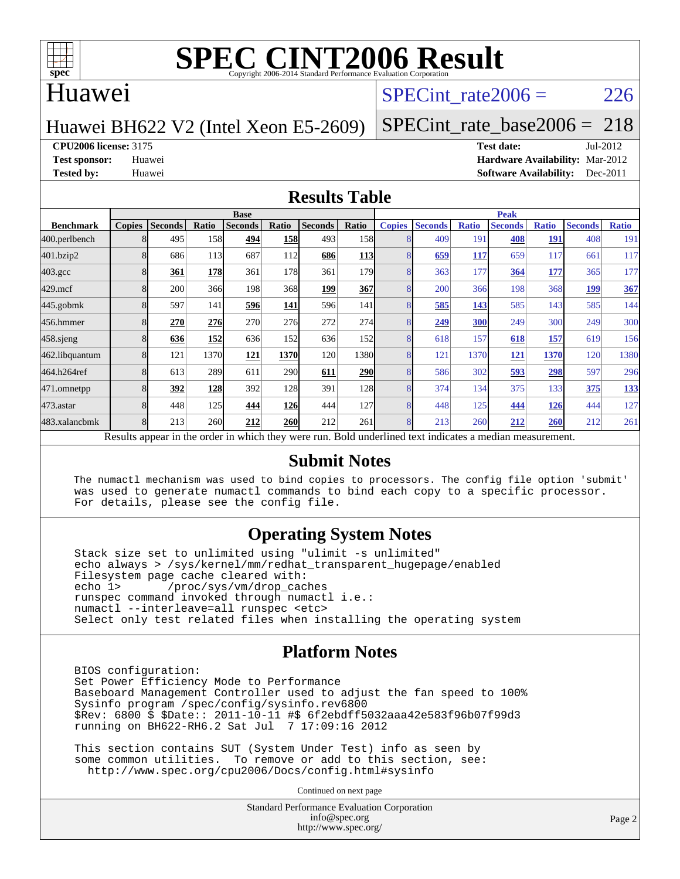

### Huawei

## SPECint rate $2006 = 226$

#### Huawei BH622 V2 (Intel Xeon E5-2609)

[SPECint\\_rate\\_base2006 =](http://www.spec.org/auto/cpu2006/Docs/result-fields.html#SPECintratebase2006) 218

**[CPU2006 license:](http://www.spec.org/auto/cpu2006/Docs/result-fields.html#CPU2006license)** 3175 **[Test date:](http://www.spec.org/auto/cpu2006/Docs/result-fields.html#Testdate)** Jul-2012

**[Test sponsor:](http://www.spec.org/auto/cpu2006/Docs/result-fields.html#Testsponsor)** Huawei **[Hardware Availability:](http://www.spec.org/auto/cpu2006/Docs/result-fields.html#HardwareAvailability)** Mar-2012 **[Tested by:](http://www.spec.org/auto/cpu2006/Docs/result-fields.html#Testedby)** Huawei **[Software Availability:](http://www.spec.org/auto/cpu2006/Docs/result-fields.html#SoftwareAvailability)** Dec-2011

#### **[Results Table](http://www.spec.org/auto/cpu2006/Docs/result-fields.html#ResultsTable)**

|                    | <b>Base</b>             |                |       |                                                                                                          |            |                |            | <b>Peak</b>   |                |              |                |              |                |              |
|--------------------|-------------------------|----------------|-------|----------------------------------------------------------------------------------------------------------|------------|----------------|------------|---------------|----------------|--------------|----------------|--------------|----------------|--------------|
| <b>Benchmark</b>   | <b>Copies</b>           | <b>Seconds</b> | Ratio | <b>Seconds</b>                                                                                           | Ratio      | <b>Seconds</b> | Ratio      | <b>Copies</b> | <b>Seconds</b> | <b>Ratio</b> | <b>Seconds</b> | <b>Ratio</b> | <b>Seconds</b> | <b>Ratio</b> |
| 400.perlbench      | 8                       | 495            | 158   | 494                                                                                                      | <b>158</b> | 493            | 158        | 8             | 409            | 191          | 408            | <b>191</b>   | 408            | 191          |
| 401.bzip2          |                         | 686            | 113   | 687                                                                                                      | 112        | 686            | <b>113</b> |               | 659            | 117          | 659            | 117          | 661            | 117          |
| $403.\mathrm{gcc}$ |                         | 361            | 178   | 361                                                                                                      | 178        | 361            | 1791       | 8             | 363            | 177          | 364            | 177          | 365            | 177          |
| $429$ .mcf         | 8                       | 200            | 366   | 198                                                                                                      | 368        | 199            | <b>367</b> | 8             | 200            | 366          | 198            | 368          | 199            | 367          |
| $445$ .gobmk       |                         | 597            | 141   | 596                                                                                                      | 141        | 596            | 141        | 8             | 585            | 143          | 585            | 143          | 585            | 144          |
| 456.hmmer          |                         | 270            | 276   | 270                                                                                                      | 276        | 272            | 274        | 8             | 249            | 300          | 249            | 300          | 249            | 300          |
| 458 sjeng          | 8                       | 636            | 152   | 636                                                                                                      | 152        | 636            | 152        | 8             | 618            | 157          | 618            | 157          | 619            | 156          |
| 462.libquantum     | 8                       | 121            | 1370  | 121                                                                                                      | 1370       | 120            | 1380       | 8             | 121            | 1370         | 121            | 1370         | 120            | 1380         |
| 464.h264ref        | 8                       | 613            | 289   | 611                                                                                                      | <b>290</b> | 611            | <b>290</b> | 8             | 586            | 302          | 593            | 298          | 597            | 296          |
| 471.omnetpp        |                         | 392            | 128   | 392                                                                                                      | 128        | 391            | <b>128</b> | 8             | 374            | 134          | 375            | 133          | 375            | 133          |
| $473.$ astar       | $\mathsf{\overline{R}}$ | 448            | 125   | 444                                                                                                      | <b>126</b> | 444            | <b>127</b> | 8             | 448            | 125          | 444            | 126          | 444            | 127          |
| 483.xalancbmk      | 8                       | 213            | 260   | 212                                                                                                      | 260        | 212            | 261        | 8             | 213            | 260          | 212            | <b>260</b>   | 212            | 261          |
|                    |                         |                |       | Results appear in the order in which they were run. Bold underlined text indicates a median measurement. |            |                |            |               |                |              |                |              |                |              |

#### **[Submit Notes](http://www.spec.org/auto/cpu2006/Docs/result-fields.html#SubmitNotes)**

 The numactl mechanism was used to bind copies to processors. The config file option 'submit' was used to generate numactl commands to bind each copy to a specific processor. For details, please see the config file.

#### **[Operating System Notes](http://www.spec.org/auto/cpu2006/Docs/result-fields.html#OperatingSystemNotes)**

 Stack size set to unlimited using "ulimit -s unlimited" echo always > /sys/kernel/mm/redhat\_transparent\_hugepage/enabled Filesystem page cache cleared with: echo 1> /proc/sys/vm/drop\_caches runspec command invoked through numactl i.e.: numactl --interleave=all runspec <etc> Select only test related files when installing the operating system

#### **[Platform Notes](http://www.spec.org/auto/cpu2006/Docs/result-fields.html#PlatformNotes)**

 BIOS configuration: Set Power Efficiency Mode to Performance Baseboard Management Controller used to adjust the fan speed to 100% Sysinfo program /spec/config/sysinfo.rev6800 \$Rev: 6800 \$ \$Date:: 2011-10-11 #\$ 6f2ebdff5032aaa42e583f96b07f99d3 running on BH622-RH6.2 Sat Jul 7 17:09:16 2012

 This section contains SUT (System Under Test) info as seen by some common utilities. To remove or add to this section, see: <http://www.spec.org/cpu2006/Docs/config.html#sysinfo>

Continued on next page

Standard Performance Evaluation Corporation [info@spec.org](mailto:info@spec.org) <http://www.spec.org/>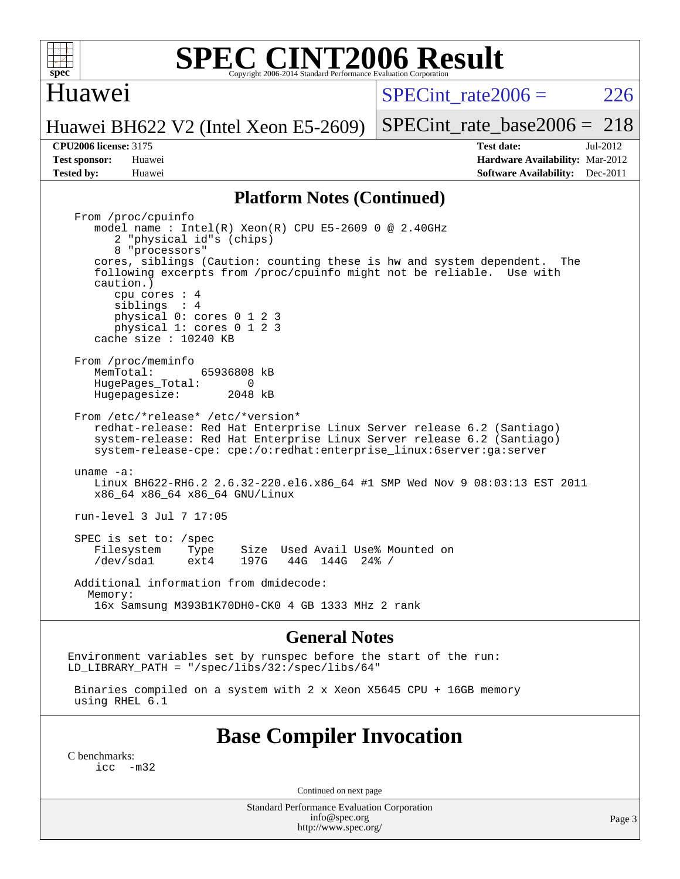

### Huawei

SPECint rate $2006 = 226$ 

Huawei BH622 V2 (Intel Xeon E5-2609)

[SPECint\\_rate\\_base2006 =](http://www.spec.org/auto/cpu2006/Docs/result-fields.html#SPECintratebase2006) 218

**[CPU2006 license:](http://www.spec.org/auto/cpu2006/Docs/result-fields.html#CPU2006license)** 3175 **[Test date:](http://www.spec.org/auto/cpu2006/Docs/result-fields.html#Testdate)** Jul-2012 **[Test sponsor:](http://www.spec.org/auto/cpu2006/Docs/result-fields.html#Testsponsor)** Huawei **[Hardware Availability:](http://www.spec.org/auto/cpu2006/Docs/result-fields.html#HardwareAvailability)** Mar-2012 **[Tested by:](http://www.spec.org/auto/cpu2006/Docs/result-fields.html#Testedby)** Huawei **[Software Availability:](http://www.spec.org/auto/cpu2006/Docs/result-fields.html#SoftwareAvailability)** Dec-2011

#### **[Platform Notes \(Continued\)](http://www.spec.org/auto/cpu2006/Docs/result-fields.html#PlatformNotes)**

 From /proc/cpuinfo model name : Intel(R) Xeon(R) CPU E5-2609 0 @ 2.40GHz 2 "physical id"s (chips) 8 "processors" cores, siblings (Caution: counting these is hw and system dependent. The following excerpts from /proc/cpuinfo might not be reliable. Use with caution.) cpu cores : 4 siblings : 4 physical 0: cores 0 1 2 3 physical 1: cores 0 1 2 3 cache size : 10240 KB From /proc/meminfo<br>MemTotal: 65936808 kB HugePages\_Total: 0<br>Hugepagesize: 2048 kB Hugepagesize: From /etc/\*release\* /etc/\*version\* redhat-release: Red Hat Enterprise Linux Server release 6.2 (Santiago) system-release: Red Hat Enterprise Linux Server release 6.2 (Santiago) system-release-cpe: cpe:/o:redhat:enterprise\_linux:6server:ga:server uname -a: Linux BH622-RH6.2 2.6.32-220.el6.x86\_64 #1 SMP Wed Nov 9 08:03:13 EST 2011 x86\_64 x86\_64 x86\_64 GNU/Linux run-level 3 Jul 7 17:05 SPEC is set to: /spec Filesystem Type Size Used Avail Use% Mounted on<br>
/dev/sdal ext4 197G 44G 144G 24% / /dev/sda1 ext4 197G 44G 144G 24% / Additional information from dmidecode: Memory: 16x Samsung M393B1K70DH0-CK0 4 GB 1333 MHz 2 rank

#### **[General Notes](http://www.spec.org/auto/cpu2006/Docs/result-fields.html#GeneralNotes)**

Environment variables set by runspec before the start of the run: LD LIBRARY PATH = "/spec/libs/32:/spec/libs/64"

 Binaries compiled on a system with 2 x Xeon X5645 CPU + 16GB memory using RHEL 6.1

### **[Base Compiler Invocation](http://www.spec.org/auto/cpu2006/Docs/result-fields.html#BaseCompilerInvocation)**

[C benchmarks](http://www.spec.org/auto/cpu2006/Docs/result-fields.html#Cbenchmarks):  $inc -m32$ 

Continued on next page

Standard Performance Evaluation Corporation [info@spec.org](mailto:info@spec.org) <http://www.spec.org/>

Page 3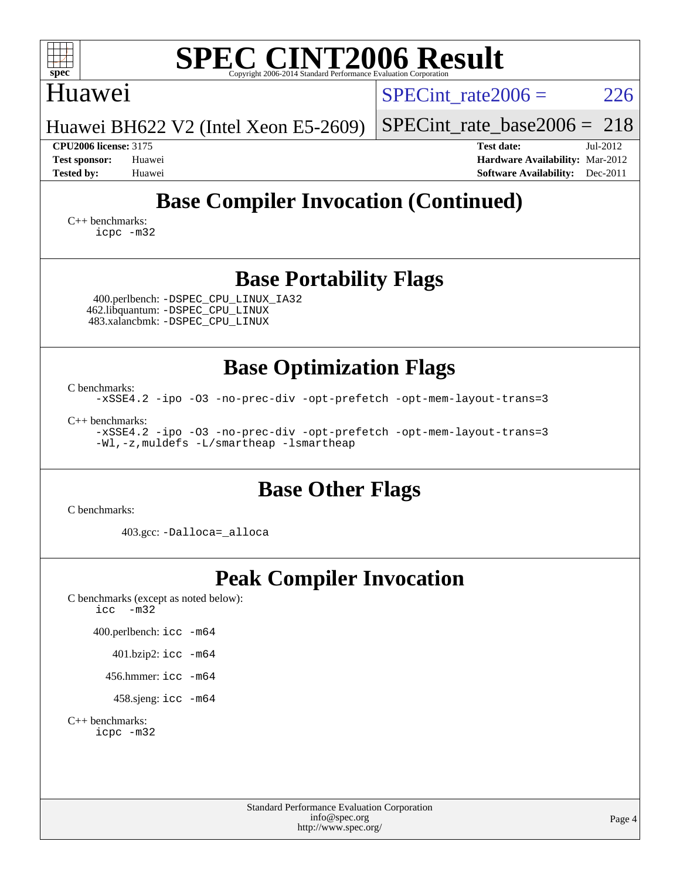### Standard Performance Evaluation Corporation **[SPEC CINT2006 Result](http://www.spec.org/auto/cpu2006/Docs/result-fields.html#SPECCINT2006Result)** Huawei Huawei BH622 V2 (Intel Xeon E5-2609) SPECint rate $2006 = 226$ [SPECint\\_rate\\_base2006 =](http://www.spec.org/auto/cpu2006/Docs/result-fields.html#SPECintratebase2006) 218 **[CPU2006 license:](http://www.spec.org/auto/cpu2006/Docs/result-fields.html#CPU2006license)** 3175 **[Test date:](http://www.spec.org/auto/cpu2006/Docs/result-fields.html#Testdate)** Jul-2012 **[Test sponsor:](http://www.spec.org/auto/cpu2006/Docs/result-fields.html#Testsponsor)** Huawei **[Hardware Availability:](http://www.spec.org/auto/cpu2006/Docs/result-fields.html#HardwareAvailability)** Mar-2012 **[Tested by:](http://www.spec.org/auto/cpu2006/Docs/result-fields.html#Testedby)** Huawei **[Software Availability:](http://www.spec.org/auto/cpu2006/Docs/result-fields.html#SoftwareAvailability)** Dec-2011 **[Base Compiler Invocation \(Continued\)](http://www.spec.org/auto/cpu2006/Docs/result-fields.html#BaseCompilerInvocation)** [C++ benchmarks:](http://www.spec.org/auto/cpu2006/Docs/result-fields.html#CXXbenchmarks) [icpc -m32](http://www.spec.org/cpu2006/results/res2012q3/cpu2006-20120717-23791.flags.html#user_CXXbase_intel_icpc_4e5a5ef1a53fd332b3c49e69c3330699) **[Base Portability Flags](http://www.spec.org/auto/cpu2006/Docs/result-fields.html#BasePortabilityFlags)** 400.perlbench: [-DSPEC\\_CPU\\_LINUX\\_IA32](http://www.spec.org/cpu2006/results/res2012q3/cpu2006-20120717-23791.flags.html#b400.perlbench_baseCPORTABILITY_DSPEC_CPU_LINUX_IA32) 462.libquantum: [-DSPEC\\_CPU\\_LINUX](http://www.spec.org/cpu2006/results/res2012q3/cpu2006-20120717-23791.flags.html#b462.libquantum_baseCPORTABILITY_DSPEC_CPU_LINUX) 483.xalancbmk: [-DSPEC\\_CPU\\_LINUX](http://www.spec.org/cpu2006/results/res2012q3/cpu2006-20120717-23791.flags.html#b483.xalancbmk_baseCXXPORTABILITY_DSPEC_CPU_LINUX) **[Base Optimization Flags](http://www.spec.org/auto/cpu2006/Docs/result-fields.html#BaseOptimizationFlags)** [C benchmarks](http://www.spec.org/auto/cpu2006/Docs/result-fields.html#Cbenchmarks): [-xSSE4.2](http://www.spec.org/cpu2006/results/res2012q3/cpu2006-20120717-23791.flags.html#user_CCbase_f-xSSE42_f91528193cf0b216347adb8b939d4107) [-ipo](http://www.spec.org/cpu2006/results/res2012q3/cpu2006-20120717-23791.flags.html#user_CCbase_f-ipo) [-O3](http://www.spec.org/cpu2006/results/res2012q3/cpu2006-20120717-23791.flags.html#user_CCbase_f-O3) [-no-prec-div](http://www.spec.org/cpu2006/results/res2012q3/cpu2006-20120717-23791.flags.html#user_CCbase_f-no-prec-div) [-opt-prefetch](http://www.spec.org/cpu2006/results/res2012q3/cpu2006-20120717-23791.flags.html#user_CCbase_f-opt-prefetch) [-opt-mem-layout-trans=3](http://www.spec.org/cpu2006/results/res2012q3/cpu2006-20120717-23791.flags.html#user_CCbase_f-opt-mem-layout-trans_a7b82ad4bd7abf52556d4961a2ae94d5) [C++ benchmarks:](http://www.spec.org/auto/cpu2006/Docs/result-fields.html#CXXbenchmarks) [-xSSE4.2](http://www.spec.org/cpu2006/results/res2012q3/cpu2006-20120717-23791.flags.html#user_CXXbase_f-xSSE42_f91528193cf0b216347adb8b939d4107) [-ipo](http://www.spec.org/cpu2006/results/res2012q3/cpu2006-20120717-23791.flags.html#user_CXXbase_f-ipo) [-O3](http://www.spec.org/cpu2006/results/res2012q3/cpu2006-20120717-23791.flags.html#user_CXXbase_f-O3) [-no-prec-div](http://www.spec.org/cpu2006/results/res2012q3/cpu2006-20120717-23791.flags.html#user_CXXbase_f-no-prec-div) [-opt-prefetch](http://www.spec.org/cpu2006/results/res2012q3/cpu2006-20120717-23791.flags.html#user_CXXbase_f-opt-prefetch) [-opt-mem-layout-trans=3](http://www.spec.org/cpu2006/results/res2012q3/cpu2006-20120717-23791.flags.html#user_CXXbase_f-opt-mem-layout-trans_a7b82ad4bd7abf52556d4961a2ae94d5) [-Wl,-z,muldefs](http://www.spec.org/cpu2006/results/res2012q3/cpu2006-20120717-23791.flags.html#user_CXXbase_link_force_multiple1_74079c344b956b9658436fd1b6dd3a8a) [-L/smartheap -lsmartheap](http://www.spec.org/cpu2006/results/res2012q3/cpu2006-20120717-23791.flags.html#user_CXXbase_SmartHeap_7c9e394a5779e1a7fec7c221e123830c) **[Base Other Flags](http://www.spec.org/auto/cpu2006/Docs/result-fields.html#BaseOtherFlags)** [C benchmarks](http://www.spec.org/auto/cpu2006/Docs/result-fields.html#Cbenchmarks): 403.gcc: [-Dalloca=\\_alloca](http://www.spec.org/cpu2006/results/res2012q3/cpu2006-20120717-23791.flags.html#b403.gcc_baseEXTRA_CFLAGS_Dalloca_be3056838c12de2578596ca5467af7f3) **[Peak Compiler Invocation](http://www.spec.org/auto/cpu2006/Docs/result-fields.html#PeakCompilerInvocation)** [C benchmarks \(except as noted below\)](http://www.spec.org/auto/cpu2006/Docs/result-fields.html#Cbenchmarksexceptasnotedbelow): [icc -m32](http://www.spec.org/cpu2006/results/res2012q3/cpu2006-20120717-23791.flags.html#user_CCpeak_intel_icc_5ff4a39e364c98233615fdd38438c6f2) 400.perlbench: [icc -m64](http://www.spec.org/cpu2006/results/res2012q3/cpu2006-20120717-23791.flags.html#user_peakCCLD400_perlbench_intel_icc_64bit_bda6cc9af1fdbb0edc3795bac97ada53) 401.bzip2: [icc -m64](http://www.spec.org/cpu2006/results/res2012q3/cpu2006-20120717-23791.flags.html#user_peakCCLD401_bzip2_intel_icc_64bit_bda6cc9af1fdbb0edc3795bac97ada53) 456.hmmer: [icc -m64](http://www.spec.org/cpu2006/results/res2012q3/cpu2006-20120717-23791.flags.html#user_peakCCLD456_hmmer_intel_icc_64bit_bda6cc9af1fdbb0edc3795bac97ada53) 458.sjeng: [icc -m64](http://www.spec.org/cpu2006/results/res2012q3/cpu2006-20120717-23791.flags.html#user_peakCCLD458_sjeng_intel_icc_64bit_bda6cc9af1fdbb0edc3795bac97ada53) [C++ benchmarks:](http://www.spec.org/auto/cpu2006/Docs/result-fields.html#CXXbenchmarks) [icpc -m32](http://www.spec.org/cpu2006/results/res2012q3/cpu2006-20120717-23791.flags.html#user_CXXpeak_intel_icpc_4e5a5ef1a53fd332b3c49e69c3330699)

[info@spec.org](mailto:info@spec.org) <http://www.spec.org/>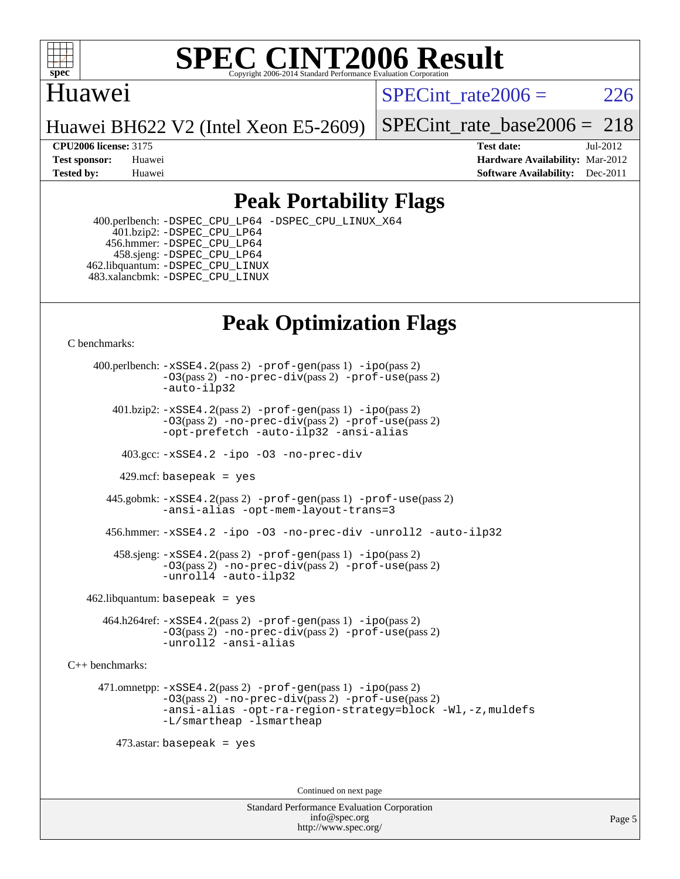

## Huawei

SPECint rate $2006 = 226$ 

Huawei BH622 V2 (Intel Xeon E5-2609)

[SPECint\\_rate\\_base2006 =](http://www.spec.org/auto/cpu2006/Docs/result-fields.html#SPECintratebase2006) 218

**[CPU2006 license:](http://www.spec.org/auto/cpu2006/Docs/result-fields.html#CPU2006license)** 3175 **[Test date:](http://www.spec.org/auto/cpu2006/Docs/result-fields.html#Testdate)** Jul-2012 **[Test sponsor:](http://www.spec.org/auto/cpu2006/Docs/result-fields.html#Testsponsor)** Huawei **[Hardware Availability:](http://www.spec.org/auto/cpu2006/Docs/result-fields.html#HardwareAvailability)** Mar-2012 **[Tested by:](http://www.spec.org/auto/cpu2006/Docs/result-fields.html#Testedby)** Huawei **[Software Availability:](http://www.spec.org/auto/cpu2006/Docs/result-fields.html#SoftwareAvailability)** Dec-2011

## **[Peak Portability Flags](http://www.spec.org/auto/cpu2006/Docs/result-fields.html#PeakPortabilityFlags)**

 400.perlbench: [-DSPEC\\_CPU\\_LP64](http://www.spec.org/cpu2006/results/res2012q3/cpu2006-20120717-23791.flags.html#b400.perlbench_peakCPORTABILITY_DSPEC_CPU_LP64) [-DSPEC\\_CPU\\_LINUX\\_X64](http://www.spec.org/cpu2006/results/res2012q3/cpu2006-20120717-23791.flags.html#b400.perlbench_peakCPORTABILITY_DSPEC_CPU_LINUX_X64) 401.bzip2: [-DSPEC\\_CPU\\_LP64](http://www.spec.org/cpu2006/results/res2012q3/cpu2006-20120717-23791.flags.html#suite_peakCPORTABILITY401_bzip2_DSPEC_CPU_LP64) 456.hmmer: [-DSPEC\\_CPU\\_LP64](http://www.spec.org/cpu2006/results/res2012q3/cpu2006-20120717-23791.flags.html#suite_peakCPORTABILITY456_hmmer_DSPEC_CPU_LP64) 458.sjeng: [-DSPEC\\_CPU\\_LP64](http://www.spec.org/cpu2006/results/res2012q3/cpu2006-20120717-23791.flags.html#suite_peakCPORTABILITY458_sjeng_DSPEC_CPU_LP64) 462.libquantum: [-DSPEC\\_CPU\\_LINUX](http://www.spec.org/cpu2006/results/res2012q3/cpu2006-20120717-23791.flags.html#b462.libquantum_peakCPORTABILITY_DSPEC_CPU_LINUX) 483.xalancbmk: [-DSPEC\\_CPU\\_LINUX](http://www.spec.org/cpu2006/results/res2012q3/cpu2006-20120717-23791.flags.html#b483.xalancbmk_peakCXXPORTABILITY_DSPEC_CPU_LINUX)

## **[Peak Optimization Flags](http://www.spec.org/auto/cpu2006/Docs/result-fields.html#PeakOptimizationFlags)**

[C benchmarks](http://www.spec.org/auto/cpu2006/Docs/result-fields.html#Cbenchmarks):

 400.perlbench: [-xSSE4.2](http://www.spec.org/cpu2006/results/res2012q3/cpu2006-20120717-23791.flags.html#user_peakPASS2_CFLAGSPASS2_LDCFLAGS400_perlbench_f-xSSE42_f91528193cf0b216347adb8b939d4107)(pass 2) [-prof-gen](http://www.spec.org/cpu2006/results/res2012q3/cpu2006-20120717-23791.flags.html#user_peakPASS1_CFLAGSPASS1_LDCFLAGS400_perlbench_prof_gen_e43856698f6ca7b7e442dfd80e94a8fc)(pass 1) [-ipo](http://www.spec.org/cpu2006/results/res2012q3/cpu2006-20120717-23791.flags.html#user_peakPASS2_CFLAGSPASS2_LDCFLAGS400_perlbench_f-ipo)(pass 2) [-O3](http://www.spec.org/cpu2006/results/res2012q3/cpu2006-20120717-23791.flags.html#user_peakPASS2_CFLAGSPASS2_LDCFLAGS400_perlbench_f-O3)(pass 2) [-no-prec-div](http://www.spec.org/cpu2006/results/res2012q3/cpu2006-20120717-23791.flags.html#user_peakPASS2_CFLAGSPASS2_LDCFLAGS400_perlbench_f-no-prec-div)(pass 2) [-prof-use](http://www.spec.org/cpu2006/results/res2012q3/cpu2006-20120717-23791.flags.html#user_peakPASS2_CFLAGSPASS2_LDCFLAGS400_perlbench_prof_use_bccf7792157ff70d64e32fe3e1250b55)(pass 2) [-auto-ilp32](http://www.spec.org/cpu2006/results/res2012q3/cpu2006-20120717-23791.flags.html#user_peakCOPTIMIZE400_perlbench_f-auto-ilp32)  $401.bzip2: -xSSE4.2(pass 2) -prof-qen(pass 1) -ipo(pass 2)$  $401.bzip2: -xSSE4.2(pass 2) -prof-qen(pass 1) -ipo(pass 2)$  $401.bzip2: -xSSE4.2(pass 2) -prof-qen(pass 1) -ipo(pass 2)$  $401.bzip2: -xSSE4.2(pass 2) -prof-qen(pass 1) -ipo(pass 2)$  $401.bzip2: -xSSE4.2(pass 2) -prof-qen(pass 1) -ipo(pass 2)$ [-O3](http://www.spec.org/cpu2006/results/res2012q3/cpu2006-20120717-23791.flags.html#user_peakPASS2_CFLAGSPASS2_LDCFLAGS401_bzip2_f-O3)(pass 2) [-no-prec-div](http://www.spec.org/cpu2006/results/res2012q3/cpu2006-20120717-23791.flags.html#user_peakPASS2_CFLAGSPASS2_LDCFLAGS401_bzip2_f-no-prec-div)(pass 2) [-prof-use](http://www.spec.org/cpu2006/results/res2012q3/cpu2006-20120717-23791.flags.html#user_peakPASS2_CFLAGSPASS2_LDCFLAGS401_bzip2_prof_use_bccf7792157ff70d64e32fe3e1250b55)(pass 2) [-opt-prefetch](http://www.spec.org/cpu2006/results/res2012q3/cpu2006-20120717-23791.flags.html#user_peakCOPTIMIZE401_bzip2_f-opt-prefetch) [-auto-ilp32](http://www.spec.org/cpu2006/results/res2012q3/cpu2006-20120717-23791.flags.html#user_peakCOPTIMIZE401_bzip2_f-auto-ilp32) [-ansi-alias](http://www.spec.org/cpu2006/results/res2012q3/cpu2006-20120717-23791.flags.html#user_peakCOPTIMIZE401_bzip2_f-ansi-alias) 403.gcc: [-xSSE4.2](http://www.spec.org/cpu2006/results/res2012q3/cpu2006-20120717-23791.flags.html#user_peakCOPTIMIZE403_gcc_f-xSSE42_f91528193cf0b216347adb8b939d4107) [-ipo](http://www.spec.org/cpu2006/results/res2012q3/cpu2006-20120717-23791.flags.html#user_peakCOPTIMIZE403_gcc_f-ipo) [-O3](http://www.spec.org/cpu2006/results/res2012q3/cpu2006-20120717-23791.flags.html#user_peakCOPTIMIZE403_gcc_f-O3) [-no-prec-div](http://www.spec.org/cpu2006/results/res2012q3/cpu2006-20120717-23791.flags.html#user_peakCOPTIMIZE403_gcc_f-no-prec-div) 429.mcf: basepeak = yes 445.gobmk: [-xSSE4.2](http://www.spec.org/cpu2006/results/res2012q3/cpu2006-20120717-23791.flags.html#user_peakPASS2_CFLAGSPASS2_LDCFLAGS445_gobmk_f-xSSE42_f91528193cf0b216347adb8b939d4107)(pass 2) [-prof-gen](http://www.spec.org/cpu2006/results/res2012q3/cpu2006-20120717-23791.flags.html#user_peakPASS1_CFLAGSPASS1_LDCFLAGS445_gobmk_prof_gen_e43856698f6ca7b7e442dfd80e94a8fc)(pass 1) [-prof-use](http://www.spec.org/cpu2006/results/res2012q3/cpu2006-20120717-23791.flags.html#user_peakPASS2_CFLAGSPASS2_LDCFLAGS445_gobmk_prof_use_bccf7792157ff70d64e32fe3e1250b55)(pass 2) [-ansi-alias](http://www.spec.org/cpu2006/results/res2012q3/cpu2006-20120717-23791.flags.html#user_peakCOPTIMIZE445_gobmk_f-ansi-alias) [-opt-mem-layout-trans=3](http://www.spec.org/cpu2006/results/res2012q3/cpu2006-20120717-23791.flags.html#user_peakCOPTIMIZE445_gobmk_f-opt-mem-layout-trans_a7b82ad4bd7abf52556d4961a2ae94d5) 456.hmmer: [-xSSE4.2](http://www.spec.org/cpu2006/results/res2012q3/cpu2006-20120717-23791.flags.html#user_peakCOPTIMIZE456_hmmer_f-xSSE42_f91528193cf0b216347adb8b939d4107) [-ipo](http://www.spec.org/cpu2006/results/res2012q3/cpu2006-20120717-23791.flags.html#user_peakCOPTIMIZE456_hmmer_f-ipo) [-O3](http://www.spec.org/cpu2006/results/res2012q3/cpu2006-20120717-23791.flags.html#user_peakCOPTIMIZE456_hmmer_f-O3) [-no-prec-div](http://www.spec.org/cpu2006/results/res2012q3/cpu2006-20120717-23791.flags.html#user_peakCOPTIMIZE456_hmmer_f-no-prec-div) [-unroll2](http://www.spec.org/cpu2006/results/res2012q3/cpu2006-20120717-23791.flags.html#user_peakCOPTIMIZE456_hmmer_f-unroll_784dae83bebfb236979b41d2422d7ec2) [-auto-ilp32](http://www.spec.org/cpu2006/results/res2012q3/cpu2006-20120717-23791.flags.html#user_peakCOPTIMIZE456_hmmer_f-auto-ilp32) 458.sjeng: [-xSSE4.2](http://www.spec.org/cpu2006/results/res2012q3/cpu2006-20120717-23791.flags.html#user_peakPASS2_CFLAGSPASS2_LDCFLAGS458_sjeng_f-xSSE42_f91528193cf0b216347adb8b939d4107)(pass 2) [-prof-gen](http://www.spec.org/cpu2006/results/res2012q3/cpu2006-20120717-23791.flags.html#user_peakPASS1_CFLAGSPASS1_LDCFLAGS458_sjeng_prof_gen_e43856698f6ca7b7e442dfd80e94a8fc)(pass 1) [-ipo](http://www.spec.org/cpu2006/results/res2012q3/cpu2006-20120717-23791.flags.html#user_peakPASS2_CFLAGSPASS2_LDCFLAGS458_sjeng_f-ipo)(pass 2) [-O3](http://www.spec.org/cpu2006/results/res2012q3/cpu2006-20120717-23791.flags.html#user_peakPASS2_CFLAGSPASS2_LDCFLAGS458_sjeng_f-O3)(pass 2) [-no-prec-div](http://www.spec.org/cpu2006/results/res2012q3/cpu2006-20120717-23791.flags.html#user_peakPASS2_CFLAGSPASS2_LDCFLAGS458_sjeng_f-no-prec-div)(pass 2) [-prof-use](http://www.spec.org/cpu2006/results/res2012q3/cpu2006-20120717-23791.flags.html#user_peakPASS2_CFLAGSPASS2_LDCFLAGS458_sjeng_prof_use_bccf7792157ff70d64e32fe3e1250b55)(pass 2) [-unroll4](http://www.spec.org/cpu2006/results/res2012q3/cpu2006-20120717-23791.flags.html#user_peakCOPTIMIZE458_sjeng_f-unroll_4e5e4ed65b7fd20bdcd365bec371b81f) [-auto-ilp32](http://www.spec.org/cpu2006/results/res2012q3/cpu2006-20120717-23791.flags.html#user_peakCOPTIMIZE458_sjeng_f-auto-ilp32)  $462$ .libquantum: basepeak = yes 464.h264ref: [-xSSE4.2](http://www.spec.org/cpu2006/results/res2012q3/cpu2006-20120717-23791.flags.html#user_peakPASS2_CFLAGSPASS2_LDCFLAGS464_h264ref_f-xSSE42_f91528193cf0b216347adb8b939d4107)(pass 2) [-prof-gen](http://www.spec.org/cpu2006/results/res2012q3/cpu2006-20120717-23791.flags.html#user_peakPASS1_CFLAGSPASS1_LDCFLAGS464_h264ref_prof_gen_e43856698f6ca7b7e442dfd80e94a8fc)(pass 1) [-ipo](http://www.spec.org/cpu2006/results/res2012q3/cpu2006-20120717-23791.flags.html#user_peakPASS2_CFLAGSPASS2_LDCFLAGS464_h264ref_f-ipo)(pass 2) [-O3](http://www.spec.org/cpu2006/results/res2012q3/cpu2006-20120717-23791.flags.html#user_peakPASS2_CFLAGSPASS2_LDCFLAGS464_h264ref_f-O3)(pass 2) [-no-prec-div](http://www.spec.org/cpu2006/results/res2012q3/cpu2006-20120717-23791.flags.html#user_peakPASS2_CFLAGSPASS2_LDCFLAGS464_h264ref_f-no-prec-div)(pass 2) [-prof-use](http://www.spec.org/cpu2006/results/res2012q3/cpu2006-20120717-23791.flags.html#user_peakPASS2_CFLAGSPASS2_LDCFLAGS464_h264ref_prof_use_bccf7792157ff70d64e32fe3e1250b55)(pass 2) [-unroll2](http://www.spec.org/cpu2006/results/res2012q3/cpu2006-20120717-23791.flags.html#user_peakCOPTIMIZE464_h264ref_f-unroll_784dae83bebfb236979b41d2422d7ec2) [-ansi-alias](http://www.spec.org/cpu2006/results/res2012q3/cpu2006-20120717-23791.flags.html#user_peakCOPTIMIZE464_h264ref_f-ansi-alias) [C++ benchmarks:](http://www.spec.org/auto/cpu2006/Docs/result-fields.html#CXXbenchmarks) 471.omnetpp: [-xSSE4.2](http://www.spec.org/cpu2006/results/res2012q3/cpu2006-20120717-23791.flags.html#user_peakPASS2_CXXFLAGSPASS2_LDCXXFLAGS471_omnetpp_f-xSSE42_f91528193cf0b216347adb8b939d4107)(pass 2) [-prof-gen](http://www.spec.org/cpu2006/results/res2012q3/cpu2006-20120717-23791.flags.html#user_peakPASS1_CXXFLAGSPASS1_LDCXXFLAGS471_omnetpp_prof_gen_e43856698f6ca7b7e442dfd80e94a8fc)(pass 1) [-ipo](http://www.spec.org/cpu2006/results/res2012q3/cpu2006-20120717-23791.flags.html#user_peakPASS2_CXXFLAGSPASS2_LDCXXFLAGS471_omnetpp_f-ipo)(pass 2) [-O3](http://www.spec.org/cpu2006/results/res2012q3/cpu2006-20120717-23791.flags.html#user_peakPASS2_CXXFLAGSPASS2_LDCXXFLAGS471_omnetpp_f-O3)(pass 2) [-no-prec-div](http://www.spec.org/cpu2006/results/res2012q3/cpu2006-20120717-23791.flags.html#user_peakPASS2_CXXFLAGSPASS2_LDCXXFLAGS471_omnetpp_f-no-prec-div)(pass 2) [-prof-use](http://www.spec.org/cpu2006/results/res2012q3/cpu2006-20120717-23791.flags.html#user_peakPASS2_CXXFLAGSPASS2_LDCXXFLAGS471_omnetpp_prof_use_bccf7792157ff70d64e32fe3e1250b55)(pass 2) [-ansi-alias](http://www.spec.org/cpu2006/results/res2012q3/cpu2006-20120717-23791.flags.html#user_peakCXXOPTIMIZE471_omnetpp_f-ansi-alias) [-opt-ra-region-strategy=block](http://www.spec.org/cpu2006/results/res2012q3/cpu2006-20120717-23791.flags.html#user_peakCXXOPTIMIZE471_omnetpp_f-opt-ra-region-strategy_a0a37c372d03933b2a18d4af463c1f69) [-Wl,-z,muldefs](http://www.spec.org/cpu2006/results/res2012q3/cpu2006-20120717-23791.flags.html#user_peakEXTRA_LDFLAGS471_omnetpp_link_force_multiple1_74079c344b956b9658436fd1b6dd3a8a) [-L/smartheap -lsmartheap](http://www.spec.org/cpu2006/results/res2012q3/cpu2006-20120717-23791.flags.html#user_peakEXTRA_LIBS471_omnetpp_SmartHeap_7c9e394a5779e1a7fec7c221e123830c) 473.astar: basepeak = yes Continued on next page

> Standard Performance Evaluation Corporation [info@spec.org](mailto:info@spec.org) <http://www.spec.org/>